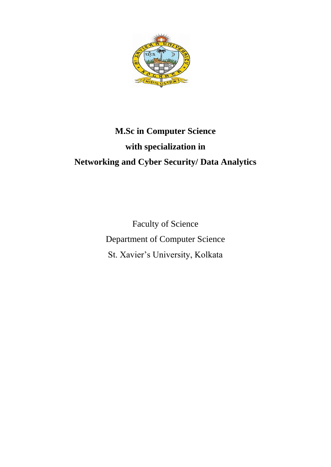

# **M.Sc in Computer Science with specialization in Networking and Cyber Security/ Data Analytics**

Faculty of Science Department of Computer Science St. Xavier's University, Kolkata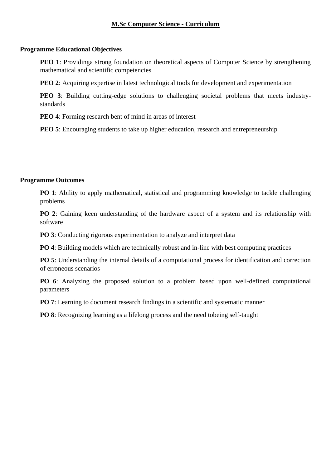## **M.Sc Computer Science - Curriculum**

## **Programme Educational Objectives**

**PEO 1**: Providinga strong foundation on theoretical aspects of Computer Science by strengthening mathematical and scientific competencies

**PEO 2**: Acquiring expertise in latest technological tools for development and experimentation

**PEO 3**: Building cutting-edge solutions to challenging societal problems that meets industrystandards

**PEO 4**: Forming research bent of mind in areas of interest

**PEO 5**: Encouraging students to take up higher education, research and entrepreneurship

### **Programme Outcomes**

**PO 1**: Ability to apply mathematical, statistical and programming knowledge to tackle challenging problems

**PO 2**: Gaining keen understanding of the hardware aspect of a system and its relationship with software

**PO 3**: Conducting rigorous experimentation to analyze and interpret data

**PO 4**: Building models which are technically robust and in-line with best computing practices

**PO 5**: Understanding the internal details of a computational process for identification and correction of erroneous scenarios

**PO 6**: Analyzing the proposed solution to a problem based upon well-defined computational parameters

**PO 7**: Learning to document research findings in a scientific and systematic manner

**PO 8**: Recognizing learning as a lifelong process and the need tobeing self-taught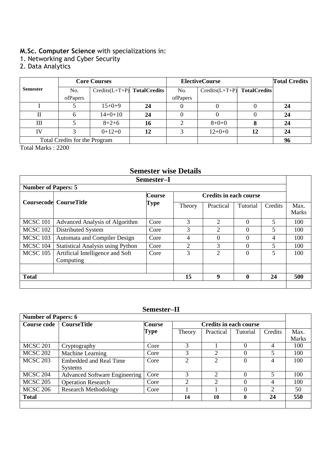# **M.Sc. Computer Science** with specializations in:

- 1. Networking and Cyber Security
- 2. Data Analytics

|                               | <b>Core Courses</b> |                               |    | <b>ElectiveCourse</b> | <b>Total Credits</b>          |    |    |
|-------------------------------|---------------------|-------------------------------|----|-----------------------|-------------------------------|----|----|
| <b>Semester</b>               | No.                 | $Credits(L+T+P)$ TotalCredits |    | No.                   | $Credits(L+T+P)$ TotalCredits |    |    |
|                               | ofPapers            |                               |    | ofPapers              |                               |    |    |
|                               |                     | $15+0+9$                      | 24 |                       |                               |    | 24 |
|                               |                     | $14+0+10$                     | 24 |                       |                               |    | 24 |
| Ш                             |                     | $8 + 2 + 6$                   | 16 |                       | $8 + 0 + 0$                   |    | 24 |
| IV                            |                     | $0+12+0$                      | 12 |                       | $12+0+0$                      | 12 | 24 |
| Total Credits for the Program |                     |                               |    |                       |                               |    | 96 |

Total Marks : 2200

# **Semester wise Details**

| Semester-I                                |                                               |                       |                               |                |          |         |                      |
|-------------------------------------------|-----------------------------------------------|-----------------------|-------------------------------|----------------|----------|---------|----------------------|
| <b>Number of Papers: 5</b>                |                                               |                       |                               |                |          |         |                      |
|                                           | <b>Coursecode</b> CourseTitle                 | <b>Course</b><br>Type | <b>Credits in each course</b> |                |          |         |                      |
|                                           |                                               |                       | Theory                        | Practical      | Tutorial | Credits | Max.<br><b>Marks</b> |
| <b>MCSC 101</b>                           | Advanced Analysis of Algorithm                | Core                  | 3                             | 2              | $\Omega$ | 5       | 100                  |
| MCSC 102                                  | Distributed System                            | Core                  | 3                             | $\overline{2}$ | $\theta$ | 5       | 100                  |
| <b>MCSC 103</b>                           | Automata and Compiler Design                  | Core                  | 4                             | $\Omega$       | $\Omega$ | 4       | 100                  |
| MCSC 104                                  | <b>Statistical Analysis using Python</b>      | Core                  | $\overline{c}$                | 3              | $\Omega$ | 5.      | 100                  |
| <b>MCSC 105</b>                           | Artificial Intelligence and Soft<br>Computing | Core                  | 3                             | $\overline{2}$ | $\Omega$ | 5       | 100                  |
|                                           |                                               |                       |                               |                |          |         |                      |
| 15<br>9<br><b>Total</b><br>$\bf{0}$<br>24 |                                               |                       |                               |                |          | 500     |                      |
|                                           |                                               |                       |                               |                |          |         |                      |

# **Semester–II**

| <b>Number of Papers: 6</b> |                                                                      |      |                             |                |          |                             |              |
|----------------------------|----------------------------------------------------------------------|------|-----------------------------|----------------|----------|-----------------------------|--------------|
| Course code                | <b>Course</b><br><b>CourseTitle</b><br><b>Credits in each course</b> |      |                             |                |          |                             |              |
|                            |                                                                      | Type | Theory                      | Practical      | Tutorial | Credits                     | Max.         |
|                            |                                                                      |      |                             |                |          |                             | <b>Marks</b> |
| <b>MCSC 201</b>            | Cryptography                                                         | Core |                             |                | 0        | 4                           | 100          |
| <b>MCSC 202</b>            | Machine Learning                                                     | Core |                             | 2              | $\Omega$ |                             | 100          |
| <b>MCSC 203</b>            | <b>Embedded and Real Time</b>                                        | Core | 2                           | $\overline{2}$ | $\theta$ | 4                           | 100          |
|                            | <b>Systems</b>                                                       |      |                             |                |          |                             |              |
| <b>MCSC 204</b>            | <b>Advanced Software Engineering</b>                                 | Core | 3                           | 2              | $\Omega$ | $\overline{\mathbf{5}}$     | 100          |
| <b>MCSC 205</b>            | <b>Operation Research</b>                                            | Core | $\mathcal{D}_{\mathcal{L}}$ | $\overline{2}$ | $\Omega$ | 4                           | 100          |
| <b>MCSC 206</b>            | <b>Research Methodology</b>                                          | Core |                             |                | 0        | $\mathcal{D}_{\mathcal{A}}$ | 50           |
| <b>Total</b>               |                                                                      |      | 14                          | 10             | $\bf{0}$ | 24                          | 550          |
|                            |                                                                      |      |                             |                |          |                             |              |